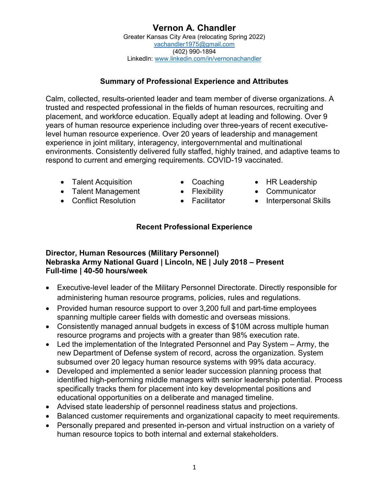# **Vernon A. Chandler**

Greater Kansas City Area (relocating Spring 2022) [vachandler1975@gmail.com](mailto:vachandler1975@gmail.com) (402) 990-1894 LinkedIn: [www.linkedin.com/in/vernonachandler](http://www.linkedin.com/in/vernonachandler)

### **Summary of Professional Experience and Attributes**

Calm, collected, results-oriented leader and team member of diverse organizations. A trusted and respected professional in the fields of human resources, recruiting and placement, and workforce education. Equally adept at leading and following. Over 9 years of human resource experience including over three-years of recent executivelevel human resource experience. Over 20 years of leadership and management experience in joint military, interagency, intergovernmental and multinational environments. Consistently delivered fully staffed, highly trained, and adaptive teams to respond to current and emerging requirements. COVID-19 vaccinated.

- Talent Acquisition Coaching HR Leadership
- 
- 
- 
- 
- Talent Management Flexibility Communicator
- Conflict Resolution Facilitator Interpersonal Skills
	- **Recent Professional Experience**

### **Director, Human Resources (Military Personnel) Nebraska Army National Guard | Lincoln, NE | July 2018 – Present Full-time | 40-50 hours/week**

- Executive-level leader of the Military Personnel Directorate. Directly responsible for administering human resource programs, policies, rules and regulations.
- Provided human resource support to over 3,200 full and part-time employees spanning multiple career fields with domestic and overseas missions.
- Consistently managed annual budgets in excess of \$10M across multiple human resource programs and projects with a greater than 98% execution rate.
- Led the implementation of the Integrated Personnel and Pay System Army, the new Department of Defense system of record, across the organization. System subsumed over 20 legacy human resource systems with 99% data accuracy.
- Developed and implemented a senior leader succession planning process that identified high-performing middle managers with senior leadership potential. Process specifically tracks them for placement into key developmental positions and educational opportunities on a deliberate and managed timeline.
- Advised state leadership of personnel readiness status and projections.
- Balanced customer requirements and organizational capacity to meet requirements.
- Personally prepared and presented in-person and virtual instruction on a variety of human resource topics to both internal and external stakeholders.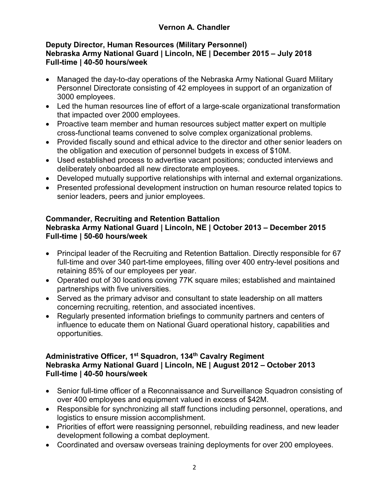## **Vernon A. Chandler**

#### **Deputy Director, Human Resources (Military Personnel) Nebraska Army National Guard | Lincoln, NE | December 2015 – July 2018 Full-time | 40-50 hours/week**

- Managed the day-to-day operations of the Nebraska Army National Guard Military Personnel Directorate consisting of 42 employees in support of an organization of 3000 employees.
- Led the human resources line of effort of a large-scale organizational transformation that impacted over 2000 employees.
- Proactive team member and human resources subject matter expert on multiple cross-functional teams convened to solve complex organizational problems.
- Provided fiscally sound and ethical advice to the director and other senior leaders on the obligation and execution of personnel budgets in excess of \$10M.
- Used established process to advertise vacant positions; conducted interviews and deliberately onboarded all new directorate employees.
- Developed mutually supportive relationships with internal and external organizations.
- Presented professional development instruction on human resource related topics to senior leaders, peers and junior employees.

#### **Commander, Recruiting and Retention Battalion Nebraska Army National Guard | Lincoln, NE | October 2013 – December 2015 Full-time | 50-60 hours/week**

- Principal leader of the Recruiting and Retention Battalion. Directly responsible for 67 full-time and over 340 part-time employees, filling over 400 entry-level positions and retaining 85% of our employees per year.
- Operated out of 30 locations coving 77K square miles; established and maintained partnerships with five universities.
- Served as the primary advisor and consultant to state leadership on all matters concerning recruiting, retention, and associated incentives.
- Regularly presented information briefings to community partners and centers of influence to educate them on National Guard operational history, capabilities and opportunities.

#### **Administrative Officer, 1st Squadron, 134th Cavalry Regiment Nebraska Army National Guard | Lincoln, NE | August 2012 – October 2013 Full-time | 40-50 hours/week**

- Senior full-time officer of a Reconnaissance and Surveillance Squadron consisting of over 400 employees and equipment valued in excess of \$42M.
- Responsible for synchronizing all staff functions including personnel, operations, and logistics to ensure mission accomplishment.
- Priorities of effort were reassigning personnel, rebuilding readiness, and new leader development following a combat deployment.
- Coordinated and oversaw overseas training deployments for over 200 employees.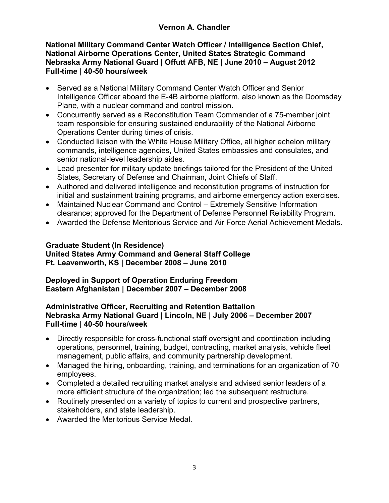#### **National Military Command Center Watch Officer / Intelligence Section Chief, National Airborne Operations Center, United States Strategic Command Nebraska Army National Guard | Offutt AFB, NE | June 2010 – August 2012 Full-time | 40-50 hours/week**

- Served as a National Military Command Center Watch Officer and Senior Intelligence Officer aboard the E-4B airborne platform, also known as the Doomsday Plane, with a nuclear command and control mission.
- Concurrently served as a Reconstitution Team Commander of a 75-member joint team responsible for ensuring sustained endurability of the National Airborne Operations Center during times of crisis.
- Conducted liaison with the White House Military Office, all higher echelon military commands, intelligence agencies, United States embassies and consulates, and senior national-level leadership aides.
- Lead presenter for military update briefings tailored for the President of the United States, Secretary of Defense and Chairman, Joint Chiefs of Staff.
- Authored and delivered intelligence and reconstitution programs of instruction for initial and sustainment training programs, and airborne emergency action exercises.
- Maintained Nuclear Command and Control Extremely Sensitive Information clearance; approved for the Department of Defense Personnel Reliability Program.
- Awarded the Defense Meritorious Service and Air Force Aerial Achievement Medals.

## **Graduate Student (In Residence)**

#### **United States Army Command and General Staff College Ft. Leavenworth, KS | December 2008 – June 2010**

#### **Deployed in Support of Operation Enduring Freedom Eastern Afghanistan | December 2007 – December 2008**

#### **Administrative Officer, Recruiting and Retention Battalion Nebraska Army National Guard | Lincoln, NE | July 2006 – December 2007 Full-time | 40-50 hours/week**

- Directly responsible for cross-functional staff oversight and coordination including operations, personnel, training, budget, contracting, market analysis, vehicle fleet management, public affairs, and community partnership development.
- Managed the hiring, onboarding, training, and terminations for an organization of 70 employees.
- Completed a detailed recruiting market analysis and advised senior leaders of a more efficient structure of the organization; led the subsequent restructure.
- Routinely presented on a variety of topics to current and prospective partners, stakeholders, and state leadership.
- Awarded the Meritorious Service Medal.